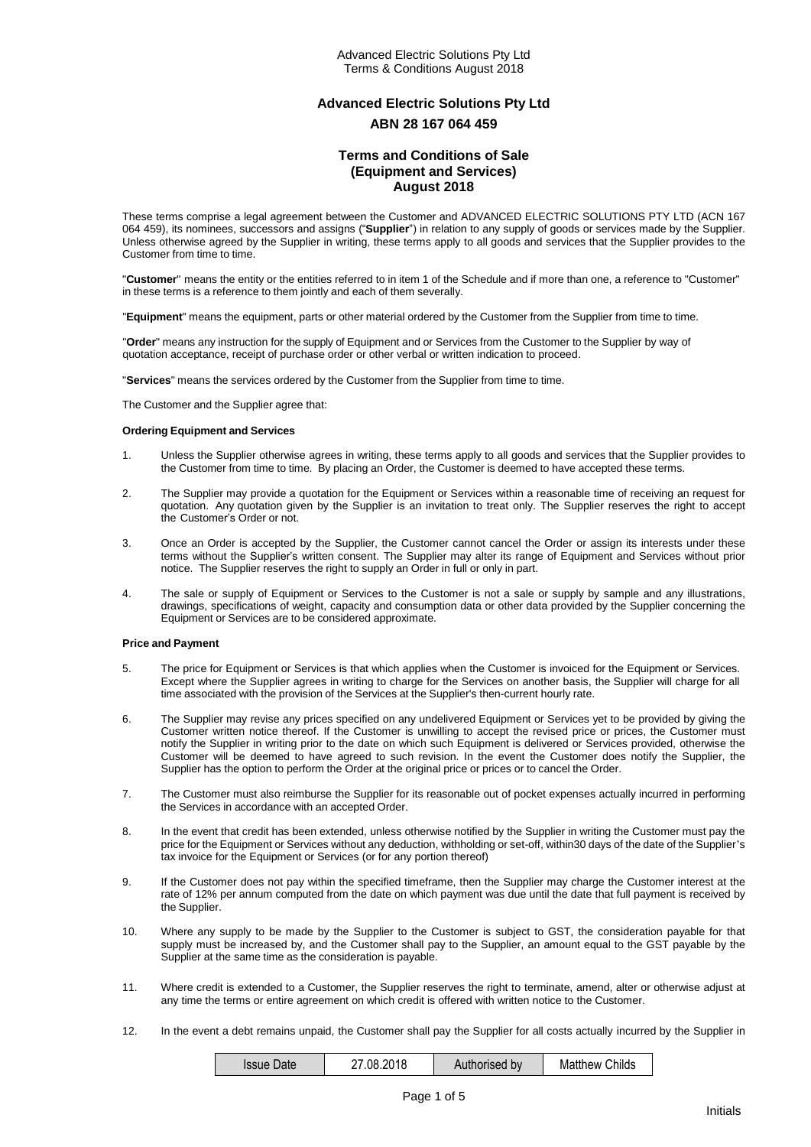# **Advanced Electric Solutions Pty Ltd ABN 28 167 064 459**

## **Terms and Conditions of Sale (Equipment and Services) August 2018**

These terms comprise a legal agreement between the Customer and ADVANCED ELECTRIC SOLUTIONS PTY LTD (ACN 167 064 459), its nominees, successors and assigns ("**Supplier**") in relation to any supply of goods or services made by the Supplier. Unless otherwise agreed by the Supplier in writing, these terms apply to all goods and services that the Supplier provides to the Customer from time to time.

"**Customer**" means the entity or the entities referred to in item 1 of the Schedule and if more than one, a reference to "Customer" in these terms is a reference to them jointly and each of them severally.

"**Equipment**" means the equipment, parts or other material ordered by the Customer from the Supplier from time to time.

"**Order**" means any instruction for the supply of Equipment and or Services from the Customer to the Supplier by way of quotation acceptance, receipt of purchase order or other verbal or written indication to proceed.

"**Services**" means the services ordered by the Customer from the Supplier from time to time.

The Customer and the Supplier agree that:

#### **Ordering Equipment and Services**

- 1. Unless the Supplier otherwise agrees in writing, these terms apply to all goods and services that the Supplier provides to the Customer from time to time. By placing an Order, the Customer is deemed to have accepted these terms.
- 2. The Supplier may provide a quotation for the Equipment or Services within a reasonable time of receiving an request for quotation. Any quotation given by the Supplier is an invitation to treat only. The Supplier reserves the right to accept the Customer's Order or not.
- 3. Once an Order is accepted by the Supplier, the Customer cannot cancel the Order or assign its interests under these terms without the Supplier's written consent. The Supplier may alter its range of Equipment and Services without prior notice. The Supplier reserves the right to supply an Order in full or only in part.
- 4. The sale or supply of Equipment or Services to the Customer is not a sale or supply by sample and any illustrations, drawings, specifications of weight, capacity and consumption data or other data provided by the Supplier concerning the Equipment or Services are to be considered approximate.

#### **Price and Payment**

- 5. The price for Equipment or Services is that which applies when the Customer is invoiced for the Equipment or Services. Except where the Supplier agrees in writing to charge for the Services on another basis, the Supplier will charge for all time associated with the provision of the Services at the Supplier's then-current hourly rate.
- 6. The Supplier may revise any prices specified on any undelivered Equipment or Services yet to be provided by giving the Customer written notice thereof. If the Customer is unwilling to accept the revised price or prices, the Customer must notify the Supplier in writing prior to the date on which such Equipment is delivered or Services provided, otherwise the Customer will be deemed to have agreed to such revision. In the event the Customer does notify the Supplier, the Supplier has the option to perform the Order at the original price or prices or to cancel the Order.
- 7. The Customer must also reimburse the Supplier for its reasonable out of pocket expenses actually incurred in performing the Services in accordance with an accepted Order.
- 8. In the event that credit has been extended, unless otherwise notified by the Supplier in writing the Customer must pay the price for the Equipment or Services without any deduction, withholding or set-off, within30 days of the date of the Supplier's tax invoice for the Equipment or Services (or for any portion thereof)
- 9. If the Customer does not pay within the specified timeframe, then the Supplier may charge the Customer interest at the rate of 12% per annum computed from the date on which payment was due until the date that full payment is received by the Supplier.
- 10. Where any supply to be made by the Supplier to the Customer is subject to GST, the consideration payable for that supply must be increased by, and the Customer shall pay to the Supplier, an amount equal to the GST payable by the Supplier at the same time as the consideration is payable.
- 11. Where credit is extended to a Customer, the Supplier reserves the right to terminate, amend, alter or otherwise adjust at any time the terms or entire agreement on which credit is offered with written notice to the Customer.
- 12. In the event a debt remains unpaid, the Customer shall pay the Supplier for all costs actually incurred by the Supplier in

| <b>Issue Date</b> | 27.08.2018 | Authorised by | <b>Matthew Childs</b> |
|-------------------|------------|---------------|-----------------------|
|-------------------|------------|---------------|-----------------------|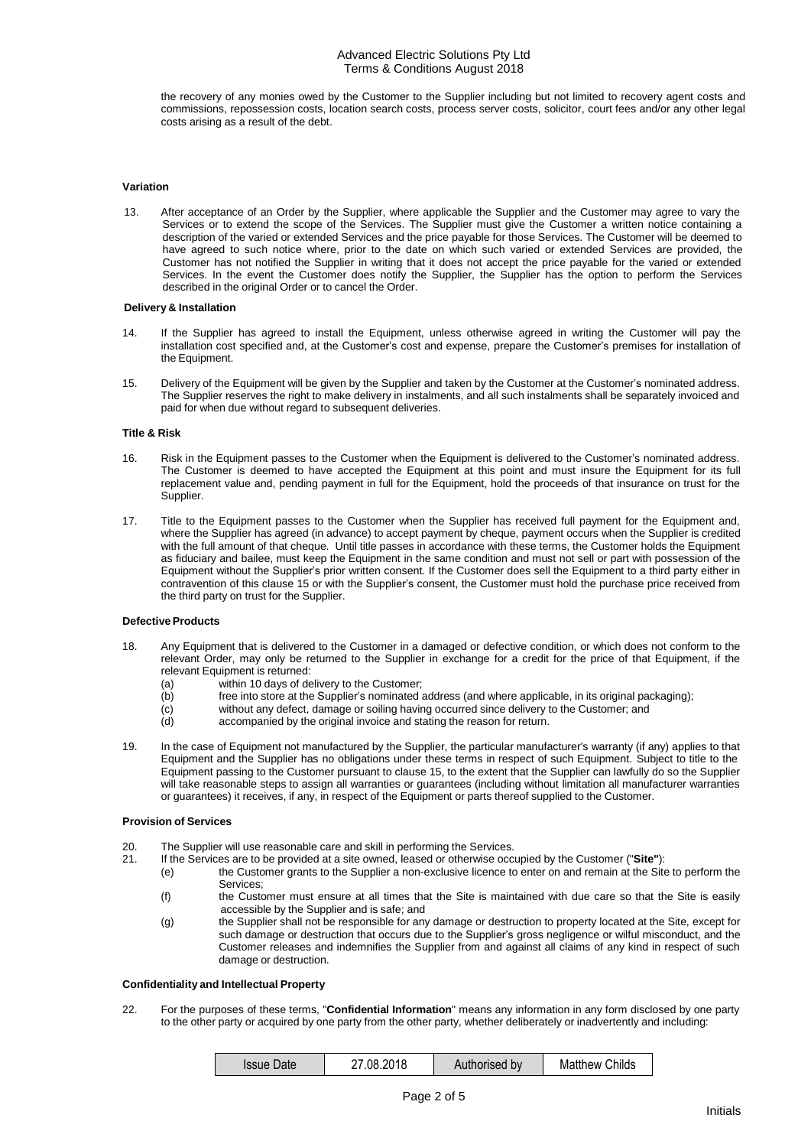the recovery of any monies owed by the Customer to the Supplier including but not limited to recovery agent costs and commissions, repossession costs, location search costs, process server costs, solicitor, court fees and/or any other legal costs arising as a result of the debt.

### **Variation**

13. After acceptance of an Order by the Supplier, where applicable the Supplier and the Customer may agree to vary the Services or to extend the scope of the Services. The Supplier must give the Customer a written notice containing a description of the varied or extended Services and the price payable for those Services. The Customer will be deemed to have agreed to such notice where, prior to the date on which such varied or extended Services are provided, the Customer has not notified the Supplier in writing that it does not accept the price payable for the varied or extended Services. In the event the Customer does notify the Supplier, the Supplier has the option to perform the Services described in the original Order or to cancel the Order.

#### **Delivery & Installation**

- 14. If the Supplier has agreed to install the Equipment, unless otherwise agreed in writing the Customer will pay the installation cost specified and, at the Customer's cost and expense, prepare the Customer's premises for installation of the Equipment.
- 15. Delivery of the Equipment will be given by the Supplier and taken by the Customer at the Customer's nominated address. The Supplier reserves the right to make delivery in instalments, and all such instalments shall be separately invoiced and paid for when due without regard to subsequent deliveries.

### **Title & Risk**

- 16. Risk in the Equipment passes to the Customer when the Equipment is delivered to the Customer's nominated address. The Customer is deemed to have accepted the Equipment at this point and must insure the Equipment for its full replacement value and, pending payment in full for the Equipment, hold the proceeds of that insurance on trust for the Supplier.
- 17. Title to the Equipment passes to the Customer when the Supplier has received full payment for the Equipment and, where the Supplier has agreed (in advance) to accept payment by cheque, payment occurs when the Supplier is credited with the full amount of that cheque. Until title passes in accordance with these terms, the Customer holds the Equipment as fiduciary and bailee, must keep the Equipment in the same condition and must not sell or part with possession of the Equipment without the Supplier's prior written consent. If the Customer does sell the Equipment to a third party either in contravention of this clause 15 or with the Supplier's consent, the Customer must hold the purchase price received from the third party on trust for the Supplier.

### **Defective Products**

- 18. Any Equipment that is delivered to the Customer in a damaged or defective condition, or which does not conform to the relevant Order, may only be returned to the Supplier in exchange for a credit for the price of that Equipment, if the relevant Equipment is returned:
	- (a) within 10 days of delivery to the Customer;<br>(b) free into store at the Supplier's nominated a
	- free into store at the Supplier's nominated address (and where applicable, in its original packaging);
	- (c) without any defect, damage or soiling having occurred since delivery to the Customer; and (d) accompanied by the original invoice and stating the reason for return.
	- accompanied by the original invoice and stating the reason for return.
- 19. In the case of Equipment not manufactured by the Supplier, the particular manufacturer's warranty (if any) applies to that Equipment and the Supplier has no obligations under these terms in respect of such Equipment. Subject to title to the Equipment passing to the Customer pursuant to clause 15, to the extent that the Supplier can lawfully do so the Supplier will take reasonable steps to assign all warranties or guarantees (including without limitation all manufacturer warranties or guarantees) it receives, if any, in respect of the Equipment or parts thereof supplied to the Customer.

### **Provision of Services**

- 20. The Supplier will use reasonable care and skill in performing the Services.<br>21. If the Services are to be provided at a site owned. leased or otherwise occ
	- - 21. If the Services are to be provided at a site owned, leased or otherwise occupied by the Customer ("**Site"**): the Customer grants to the Supplier a non-exclusive licence to enter on and remain at the Site to perform the Services;
		- (f) the Customer must ensure at all times that the Site is maintained with due care so that the Site is easily accessible by the Supplier and is safe; and
		- (g) the Supplier shall not be responsible for any damage or destruction to property located at the Site, except for such damage or destruction that occurs due to the Supplier's gross negligence or wilful misconduct, and the Customer releases and indemnifies the Supplier from and against all claims of any kind in respect of such damage or destruction.

## **Confidentiality and Intellectual Property**

22. For the purposes of these terms, "**Confidential Information**" means any information in any form disclosed by one party to the other party or acquired by one party from the other party, whether deliberately or inadvertently and including:

| 27.08.2018<br><b>Issue Date</b> | Authorised by | <b>Matthew Childs</b> |
|---------------------------------|---------------|-----------------------|
|---------------------------------|---------------|-----------------------|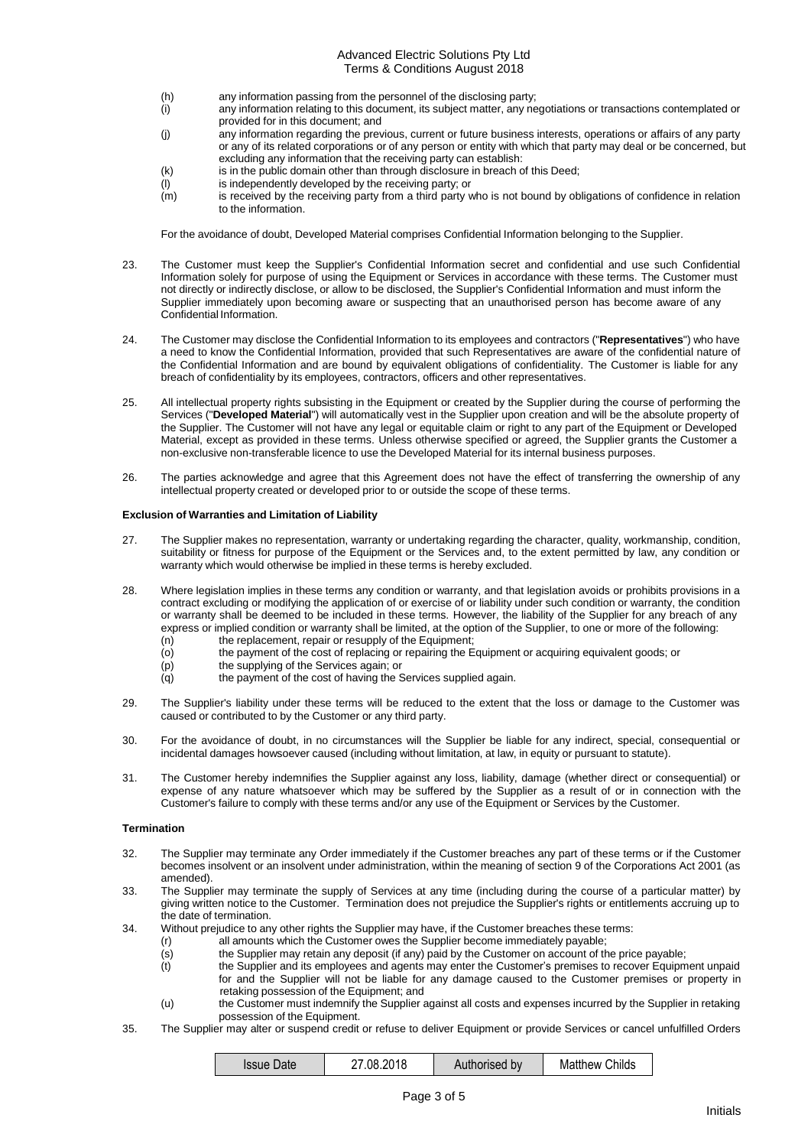## Advanced Electric Solutions Pty Ltd Terms & Conditions August 2018

- (h) any information passing from the personnel of the disclosing party;<br>(i) any information relating to this document, its subject matter, any ne
- any information relating to this document, its subject matter, any negotiations or transactions contemplated or provided for in this document; and
- (j) any information regarding the previous, current or future business interests, operations or affairs of any party or any of its related corporations or of any person or entity with which that party may deal or be concerned, but excluding any information that the receiving party can establish:
- (k) is in the public domain other than through disclosure in breach of this Deed;
- (l) is independently developed by the receiving party; or (m) is received by the receiving party from a third party v
- is received by the receiving party from a third party who is not bound by obligations of confidence in relation to the information.

For the avoidance of doubt, Developed Material comprises Confidential Information belonging to the Supplier.

- 23. The Customer must keep the Supplier's Confidential Information secret and confidential and use such Confidential Information solely for purpose of using the Equipment or Services in accordance with these terms. The Customer must not directly or indirectly disclose, or allow to be disclosed, the Supplier's Confidential Information and must inform the Supplier immediately upon becoming aware or suspecting that an unauthorised person has become aware of any Confidential Information.
- 24. The Customer may disclose the Confidential Information to its employees and contractors ("**Representatives**") who have a need to know the Confidential Information, provided that such Representatives are aware of the confidential nature of the Confidential Information and are bound by equivalent obligations of confidentiality. The Customer is liable for any breach of confidentiality by its employees, contractors, officers and other representatives.
- 25. All intellectual property rights subsisting in the Equipment or created by the Supplier during the course of performing the Services ("**Developed Material**") will automatically vest in the Supplier upon creation and will be the absolute property of the Supplier. The Customer will not have any legal or equitable claim or right to any part of the Equipment or Developed Material, except as provided in these terms. Unless otherwise specified or agreed, the Supplier grants the Customer a non-exclusive non-transferable licence to use the Developed Material for its internal business purposes.
- 26. The parties acknowledge and agree that this Agreement does not have the effect of transferring the ownership of any intellectual property created or developed prior to or outside the scope of these terms.

### **Exclusion of Warranties and Limitation of Liability**

- 27. The Supplier makes no representation, warranty or undertaking regarding the character, quality, workmanship, condition, suitability or fitness for purpose of the Equipment or the Services and, to the extent permitted by law, any condition or warranty which would otherwise be implied in these terms is hereby excluded.
- 28. Where legislation implies in these terms any condition or warranty, and that legislation avoids or prohibits provisions in a contract excluding or modifying the application of or exercise of or liability under such condition or warranty, the condition or warranty shall be deemed to be included in these terms. However, the liability of the Supplier for any breach of any express or implied condition or warranty shall be limited, at the option of the Supplier, to one or more of the following:
	- (n) the replacement, repair or resupply of the Equipment;<br>(o) the payment of the cost of replacing or repairing the E
	- (o) the payment of the cost of replacing or repairing the Equipment or acquiring equivalent goods; or
	- the supplying of the Services again; or
	- (q) the payment of the cost of having the Services supplied again.
- 29. The Supplier's liability under these terms will be reduced to the extent that the loss or damage to the Customer was caused or contributed to by the Customer or any third party.
- 30. For the avoidance of doubt, in no circumstances will the Supplier be liable for any indirect, special, consequential or incidental damages howsoever caused (including without limitation, at law, in equity or pursuant to statute).
- 31. The Customer hereby indemnifies the Supplier against any loss, liability, damage (whether direct or consequential) or expense of any nature whatsoever which may be suffered by the Supplier as a result of or in connection with the Customer's failure to comply with these terms and/or any use of the Equipment or Services by the Customer.

### **Termination**

- 32. The Supplier may terminate any Order immediately if the Customer breaches any part of these terms or if the Customer becomes insolvent or an insolvent under administration, within the meaning of section 9 of the Corporations Act 2001 (as amended).
- 33. The Supplier may terminate the supply of Services at any time (including during the course of a particular matter) by giving written notice to the Customer. Termination does not prejudice the Supplier's rights or entitlements accruing up to the date of termination.

34. Without prejudice to any other rights the Supplier may have, if the Customer breaches these terms:

- 
- (r) all amounts which the Customer owes the Supplier become immediately payable;<br>(s) the Supplier may retain any deposit (if any) paid by the Customer on account of the the Supplier may retain any deposit (if any) paid by the Customer on account of the price payable;
	- (t) the Supplier and its employees and agents may enter the Customer's premises to recover Equipment unpaid for and the Supplier will not be liable for any damage caused to the Customer premises or property in retaking possession of the Equipment; and
	- (u) the Customer must indemnify the Supplier against all costs and expenses incurred by the Supplier in retaking possession of the Equipment.
- 35. The Supplier may alter or suspend credit or refuse to deliver Equipment or provide Services or cancel unfulfilled Orders

| <b>Issue Date</b> | 27.08.2018 | Authorised by | <b>Matthew Childs</b> |
|-------------------|------------|---------------|-----------------------|
|-------------------|------------|---------------|-----------------------|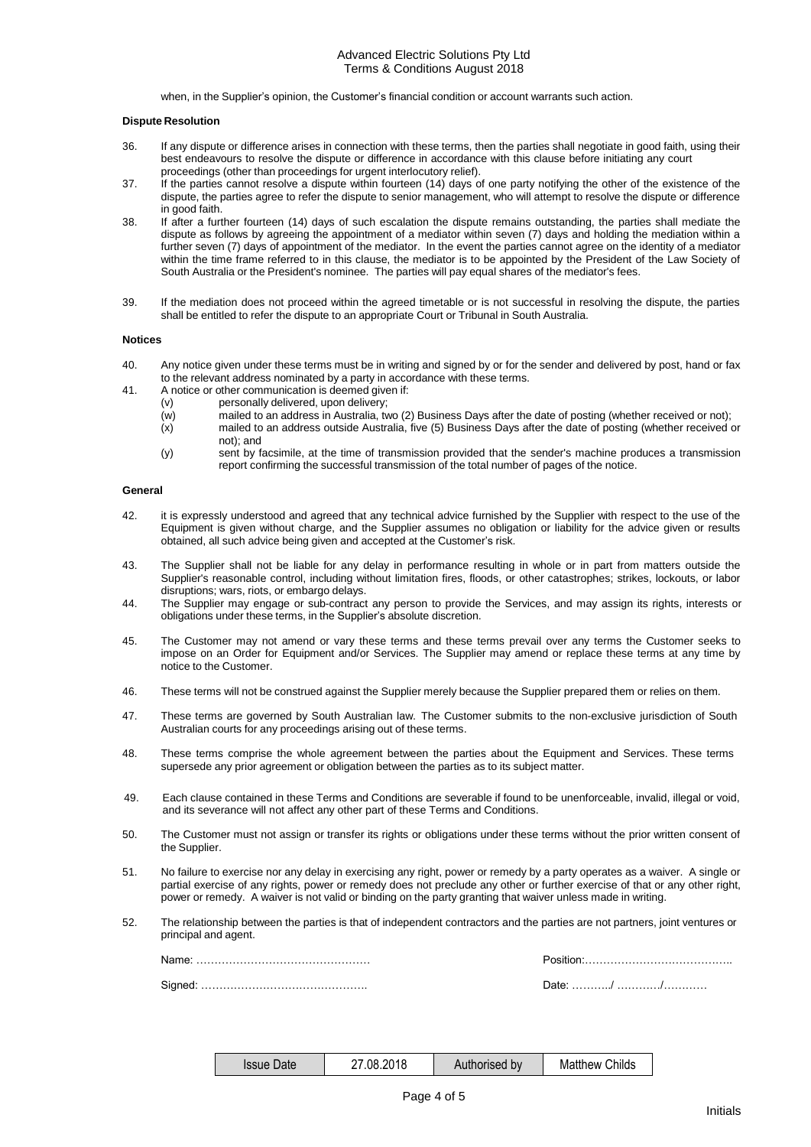when, in the Supplier's opinion, the Customer's financial condition or account warrants such action.

#### **Dispute Resolution**

- 36. If any dispute or difference arises in connection with these terms, then the parties shall negotiate in good faith, using their best endeavours to resolve the dispute or difference in accordance with this clause before initiating any court proceedings (other than proceedings for urgent interlocutory relief).
- 37. If the parties cannot resolve a dispute within fourteen (14) days of one party notifying the other of the existence of the dispute, the parties agree to refer the dispute to senior management, who will attempt to resolve the dispute or difference in good faith.
- 38. If after a further fourteen (14) days of such escalation the dispute remains outstanding, the parties shall mediate the dispute as follows by agreeing the appointment of a mediator within seven (7) days and holding the mediation within a further seven (7) days of appointment of the mediator. In the event the parties cannot agree on the identity of a mediator within the time frame referred to in this clause, the mediator is to be appointed by the President of the Law Society of South Australia or the President's nominee. The parties will pay equal shares of the mediator's fees.
- 39. If the mediation does not proceed within the agreed timetable or is not successful in resolving the dispute, the parties shall be entitled to refer the dispute to an appropriate Court or Tribunal in South Australia.

#### **Notices**

- 40. Any notice given under these terms must be in writing and signed by or for the sender and delivered by post, hand or fax to the relevant address nominated by a party in accordance with these terms.
- 41. A notice or other communication is deemed given if:
	- (v) personally delivered, upon delivery;<br>(w) mailed to an address in Australia, tw
	- (w) mailed to an address in Australia, two (2) Business Days after the date of posting (whether received or not);<br>(x) mailed to an address outside Australia, five (5) Business Days after the date of posting (whether receiv
	- mailed to an address outside Australia, five (5) Business Days after the date of posting (whether received or not); and
	- (y) sent by facsimile, at the time of transmission provided that the sender's machine produces a transmission report confirming the successful transmission of the total number of pages of the notice.

#### **General**

- 42. it is expressly understood and agreed that any technical advice furnished by the Supplier with respect to the use of the Equipment is given without charge, and the Supplier assumes no obligation or liability for the advice given or results obtained, all such advice being given and accepted at the Customer's risk.
- 43. The Supplier shall not be liable for any delay in performance resulting in whole or in part from matters outside the Supplier's reasonable control, including without limitation fires, floods, or other catastrophes; strikes, lockouts, or labor disruptions; wars, riots, or embargo delays.
- 44. The Supplier may engage or sub-contract any person to provide the Services, and may assign its rights, interests or obligations under these terms, in the Supplier's absolute discretion.
- 45. The Customer may not amend or vary these terms and these terms prevail over any terms the Customer seeks to impose on an Order for Equipment and/or Services. The Supplier may amend or replace these terms at any time by notice to the Customer.
- 46. These terms will not be construed against the Supplier merely because the Supplier prepared them or relies on them.
- 47. These terms are governed by South Australian law. The Customer submits to the non-exclusive jurisdiction of South Australian courts for any proceedings arising out of these terms.
- 48. These terms comprise the whole agreement between the parties about the Equipment and Services. These terms supersede any prior agreement or obligation between the parties as to its subject matter.
- 49. Each clause contained in these Terms and Conditions are severable if found to be unenforceable, invalid, illegal or void, and its severance will not affect any other part of these Terms and Conditions.
- 50. The Customer must not assign or transfer its rights or obligations under these terms without the prior written consent of the Supplier.
- 51. No failure to exercise nor any delay in exercising any right, power or remedy by a party operates as a waiver. A single or partial exercise of any rights, power or remedy does not preclude any other or further exercise of that or any other right, power or remedy. A waiver is not valid or binding on the party granting that waiver unless made in writing.
- 52. The relationship between the parties is that of independent contractors and the parties are not partners, joint ventures or principal and agent.

| Name:   |  |
|---------|--|
|         |  |
| Signed: |  |

| <b>Issue Date</b> | 27.08.2018 | Authorised by | <b>Matthew Childs</b> |  |
|-------------------|------------|---------------|-----------------------|--|
|-------------------|------------|---------------|-----------------------|--|